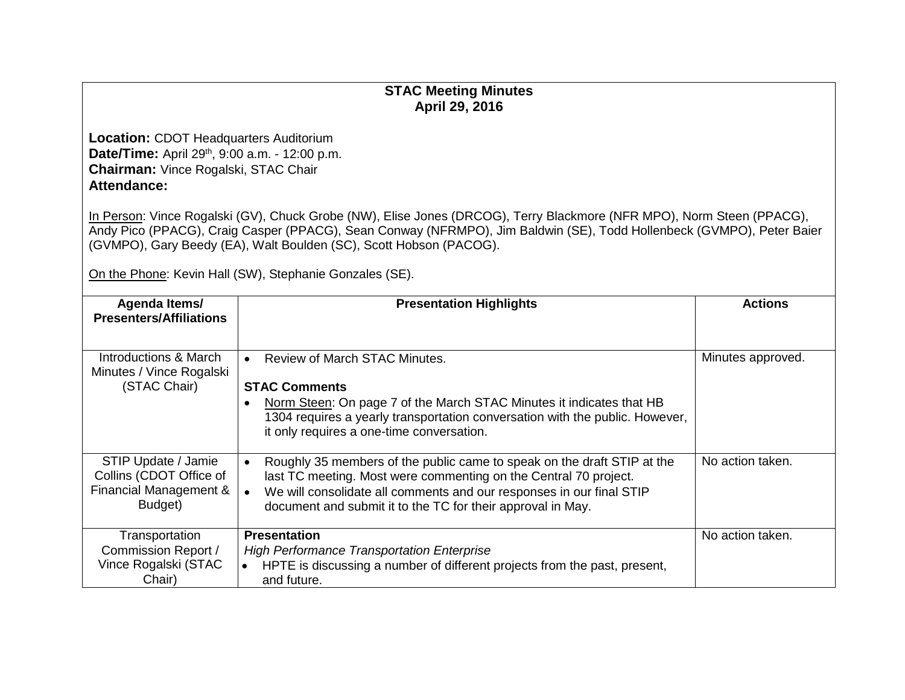## **STAC Meeting Minutes April 29, 2016**

**Location:** CDOT Headquarters Auditorium **Date/Time:** April 29<sup>th</sup>, 9:00 a.m. - 12:00 p.m. **Chairman:** Vince Rogalski, STAC Chair **Attendance:**

In Person: Vince Rogalski (GV), Chuck Grobe (NW), Elise Jones (DRCOG), Terry Blackmore (NFR MPO), Norm Steen (PPACG), Andy Pico (PPACG), Craig Casper (PPACG), Sean Conway (NFRMPO), Jim Baldwin (SE), Todd Hollenbeck (GVMPO), Peter Baier (GVMPO), Gary Beedy (EA), Walt Boulden (SC), Scott Hobson (PACOG).

On the Phone: Kevin Hall (SW), Stephanie Gonzales (SE).

| Agenda Items/                                                                       | <b>Presentation Highlights</b>                                                                                                                                                                                                                                                                               | <b>Actions</b>    |
|-------------------------------------------------------------------------------------|--------------------------------------------------------------------------------------------------------------------------------------------------------------------------------------------------------------------------------------------------------------------------------------------------------------|-------------------|
| <b>Presenters/Affiliations</b>                                                      |                                                                                                                                                                                                                                                                                                              |                   |
| Introductions & March<br>Minutes / Vince Rogalski                                   | Review of March STAC Minutes.<br>$\bullet$                                                                                                                                                                                                                                                                   | Minutes approved. |
| (STAC Chair)                                                                        | <b>STAC Comments</b>                                                                                                                                                                                                                                                                                         |                   |
|                                                                                     | Norm Steen: On page 7 of the March STAC Minutes it indicates that HB<br>$\bullet$<br>1304 requires a yearly transportation conversation with the public. However,<br>it only requires a one-time conversation.                                                                                               |                   |
| STIP Update / Jamie<br>Collins (CDOT Office of<br>Financial Management &<br>Budget) | Roughly 35 members of the public came to speak on the draft STIP at the<br>$\bullet$<br>last TC meeting. Most were commenting on the Central 70 project.<br>We will consolidate all comments and our responses in our final STIP<br>$\bullet$<br>document and submit it to the TC for their approval in May. | No action taken.  |
| Transportation                                                                      | <b>Presentation</b>                                                                                                                                                                                                                                                                                          | No action taken.  |
| Commission Report /                                                                 | <b>High Performance Transportation Enterprise</b>                                                                                                                                                                                                                                                            |                   |
| Vince Rogalski (STAC<br>Chair)                                                      | HPTE is discussing a number of different projects from the past, present,<br>$\bullet$<br>and future.                                                                                                                                                                                                        |                   |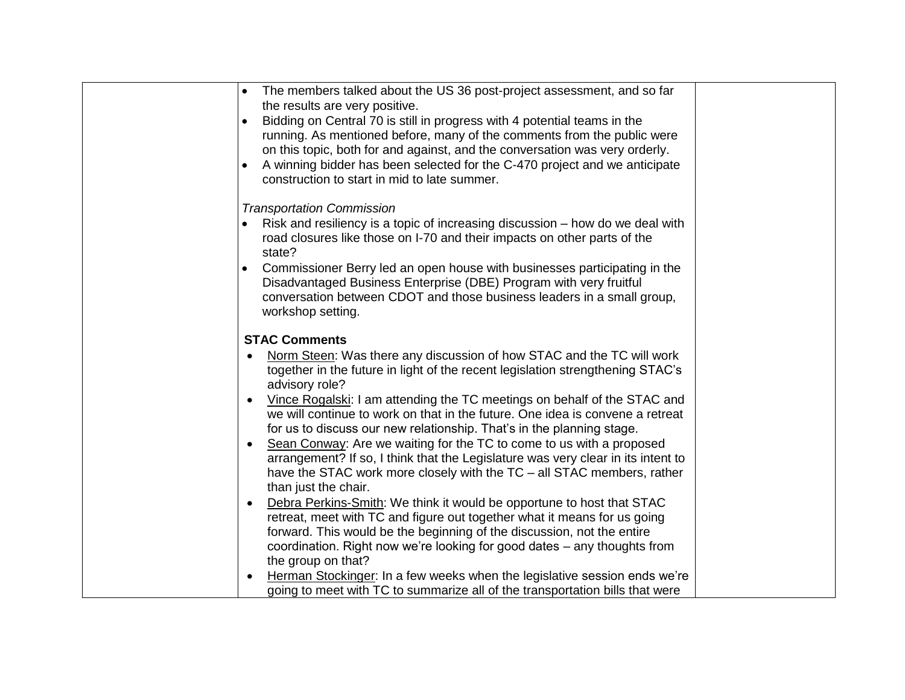| The members talked about the US 36 post-project assessment, and so far                                                                                                                                                                                |  |
|-------------------------------------------------------------------------------------------------------------------------------------------------------------------------------------------------------------------------------------------------------|--|
| the results are very positive.                                                                                                                                                                                                                        |  |
| Bidding on Central 70 is still in progress with 4 potential teams in the                                                                                                                                                                              |  |
| running. As mentioned before, many of the comments from the public were                                                                                                                                                                               |  |
| on this topic, both for and against, and the conversation was very orderly.                                                                                                                                                                           |  |
|                                                                                                                                                                                                                                                       |  |
| A winning bidder has been selected for the C-470 project and we anticipate                                                                                                                                                                            |  |
| construction to start in mid to late summer.                                                                                                                                                                                                          |  |
| <b>Transportation Commission</b>                                                                                                                                                                                                                      |  |
| Risk and resiliency is a topic of increasing discussion – how do we deal with                                                                                                                                                                         |  |
| road closures like those on I-70 and their impacts on other parts of the                                                                                                                                                                              |  |
| state?                                                                                                                                                                                                                                                |  |
| Commissioner Berry led an open house with businesses participating in the                                                                                                                                                                             |  |
| Disadvantaged Business Enterprise (DBE) Program with very fruitful                                                                                                                                                                                    |  |
| conversation between CDOT and those business leaders in a small group,                                                                                                                                                                                |  |
| workshop setting.                                                                                                                                                                                                                                     |  |
|                                                                                                                                                                                                                                                       |  |
| <b>STAC Comments</b>                                                                                                                                                                                                                                  |  |
| Norm Steen: Was there any discussion of how STAC and the TC will work                                                                                                                                                                                 |  |
| together in the future in light of the recent legislation strengthening STAC's                                                                                                                                                                        |  |
| advisory role?                                                                                                                                                                                                                                        |  |
| Vince Rogalski: I am attending the TC meetings on behalf of the STAC and                                                                                                                                                                              |  |
| we will continue to work on that in the future. One idea is convene a retreat                                                                                                                                                                         |  |
| for us to discuss our new relationship. That's in the planning stage.                                                                                                                                                                                 |  |
| Sean Conway: Are we waiting for the TC to come to us with a proposed<br>$\bullet$                                                                                                                                                                     |  |
| arrangement? If so, I think that the Legislature was very clear in its intent to                                                                                                                                                                      |  |
| have the STAC work more closely with the TC – all STAC members, rather                                                                                                                                                                                |  |
| than just the chair.                                                                                                                                                                                                                                  |  |
| Debra Perkins-Smith: We think it would be opportune to host that STAC<br>$\bullet$                                                                                                                                                                    |  |
| retreat, meet with TC and figure out together what it means for us going                                                                                                                                                                              |  |
|                                                                                                                                                                                                                                                       |  |
|                                                                                                                                                                                                                                                       |  |
|                                                                                                                                                                                                                                                       |  |
|                                                                                                                                                                                                                                                       |  |
|                                                                                                                                                                                                                                                       |  |
| forward. This would be the beginning of the discussion, not the entire<br>coordination. Right now we're looking for good dates – any thoughts from<br>the group on that?<br>Herman Stockinger: In a few weeks when the legislative session ends we're |  |
| going to meet with TC to summarize all of the transportation bills that were                                                                                                                                                                          |  |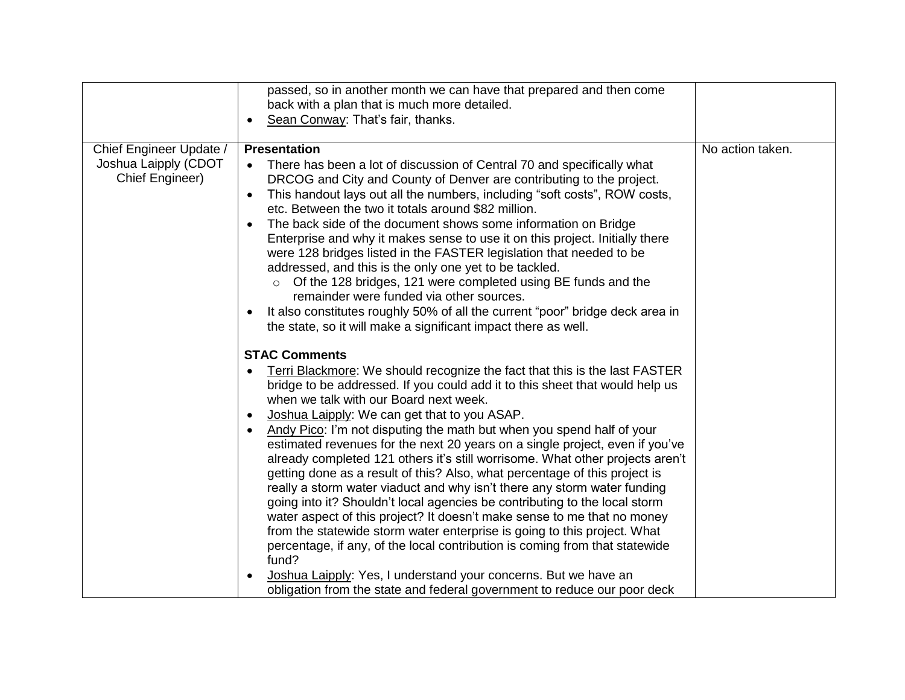|                                                                    | passed, so in another month we can have that prepared and then come<br>back with a plan that is much more detailed.<br>Sean Conway: That's fair, thanks.<br>$\bullet$                                                                                                                                                                                                                                                                                                                                                                                                                                                                                                                                                                                                                                                                                                                             |                  |
|--------------------------------------------------------------------|---------------------------------------------------------------------------------------------------------------------------------------------------------------------------------------------------------------------------------------------------------------------------------------------------------------------------------------------------------------------------------------------------------------------------------------------------------------------------------------------------------------------------------------------------------------------------------------------------------------------------------------------------------------------------------------------------------------------------------------------------------------------------------------------------------------------------------------------------------------------------------------------------|------------------|
| Chief Engineer Update /<br>Joshua Laipply (CDOT<br>Chief Engineer) | <b>Presentation</b><br>There has been a lot of discussion of Central 70 and specifically what<br>DRCOG and City and County of Denver are contributing to the project.<br>This handout lays out all the numbers, including "soft costs", ROW costs,<br>$\bullet$<br>etc. Between the two it totals around \$82 million.<br>The back side of the document shows some information on Bridge<br>Enterprise and why it makes sense to use it on this project. Initially there<br>were 128 bridges listed in the FASTER legislation that needed to be<br>addressed, and this is the only one yet to be tackled.<br>Of the 128 bridges, 121 were completed using BE funds and the<br>$\circ$<br>remainder were funded via other sources.<br>It also constitutes roughly 50% of all the current "poor" bridge deck area in<br>$\bullet$<br>the state, so it will make a significant impact there as well. | No action taken. |
|                                                                    | <b>STAC Comments</b><br>Terri Blackmore: We should recognize the fact that this is the last FASTER                                                                                                                                                                                                                                                                                                                                                                                                                                                                                                                                                                                                                                                                                                                                                                                                |                  |
|                                                                    | bridge to be addressed. If you could add it to this sheet that would help us<br>when we talk with our Board next week.                                                                                                                                                                                                                                                                                                                                                                                                                                                                                                                                                                                                                                                                                                                                                                            |                  |
|                                                                    | Joshua Laipply: We can get that to you ASAP.<br>٠<br>Andy Pico: I'm not disputing the math but when you spend half of your<br>$\bullet$<br>estimated revenues for the next 20 years on a single project, even if you've<br>already completed 121 others it's still worrisome. What other projects aren't<br>getting done as a result of this? Also, what percentage of this project is<br>really a storm water viaduct and why isn't there any storm water funding<br>going into it? Shouldn't local agencies be contributing to the local storm<br>water aspect of this project? It doesn't make sense to me that no money<br>from the statewide storm water enterprise is going to this project. What<br>percentage, if any, of the local contribution is coming from that statewide<br>fund?                                                                                                   |                  |
|                                                                    | Joshua Laipply: Yes, I understand your concerns. But we have an<br>obligation from the state and federal government to reduce our poor deck                                                                                                                                                                                                                                                                                                                                                                                                                                                                                                                                                                                                                                                                                                                                                       |                  |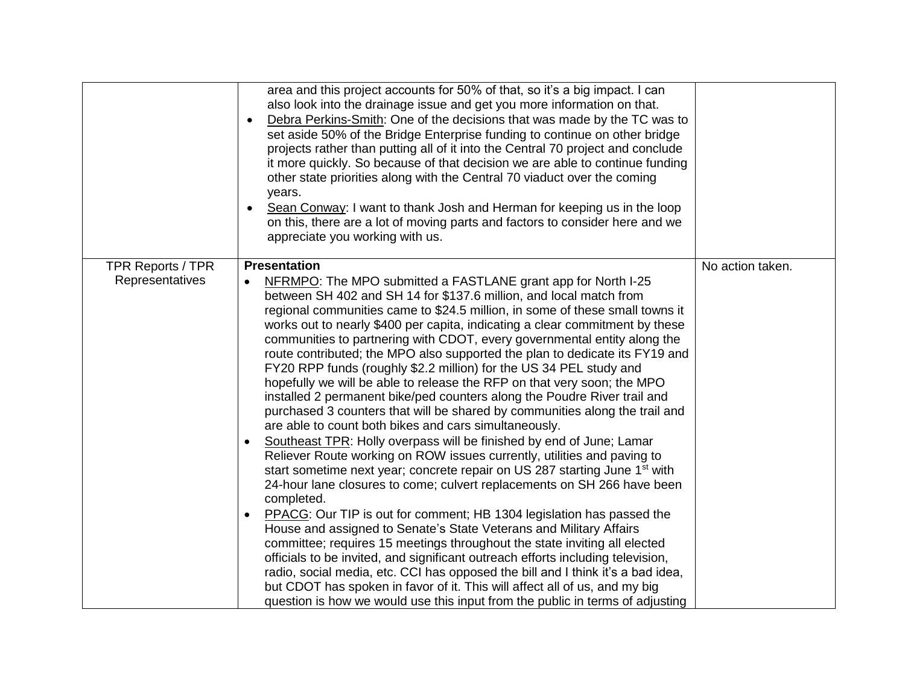|                          | area and this project accounts for 50% of that, so it's a big impact. I can<br>also look into the drainage issue and get you more information on that.<br>Debra Perkins-Smith: One of the decisions that was made by the TC was to<br>$\bullet$<br>set aside 50% of the Bridge Enterprise funding to continue on other bridge<br>projects rather than putting all of it into the Central 70 project and conclude<br>it more quickly. So because of that decision we are able to continue funding<br>other state priorities along with the Central 70 viaduct over the coming<br>years.<br>Sean Conway: I want to thank Josh and Herman for keeping us in the loop<br>$\bullet$<br>on this, there are a lot of moving parts and factors to consider here and we<br>appreciate you working with us.                                                                                                                                                                                                                                                                                                                                                                                                                                                                                                                                                                                                                                                                                                                                                                                                                                                                                                                                                                                 |                  |
|--------------------------|-----------------------------------------------------------------------------------------------------------------------------------------------------------------------------------------------------------------------------------------------------------------------------------------------------------------------------------------------------------------------------------------------------------------------------------------------------------------------------------------------------------------------------------------------------------------------------------------------------------------------------------------------------------------------------------------------------------------------------------------------------------------------------------------------------------------------------------------------------------------------------------------------------------------------------------------------------------------------------------------------------------------------------------------------------------------------------------------------------------------------------------------------------------------------------------------------------------------------------------------------------------------------------------------------------------------------------------------------------------------------------------------------------------------------------------------------------------------------------------------------------------------------------------------------------------------------------------------------------------------------------------------------------------------------------------------------------------------------------------------------------------------------------------|------------------|
| <b>TPR Reports / TPR</b> | <b>Presentation</b>                                                                                                                                                                                                                                                                                                                                                                                                                                                                                                                                                                                                                                                                                                                                                                                                                                                                                                                                                                                                                                                                                                                                                                                                                                                                                                                                                                                                                                                                                                                                                                                                                                                                                                                                                               | No action taken. |
| Representatives          | NFRMPO: The MPO submitted a FASTLANE grant app for North I-25<br>$\bullet$<br>between SH 402 and SH 14 for \$137.6 million, and local match from<br>regional communities came to \$24.5 million, in some of these small towns it<br>works out to nearly \$400 per capita, indicating a clear commitment by these<br>communities to partnering with CDOT, every governmental entity along the<br>route contributed; the MPO also supported the plan to dedicate its FY19 and<br>FY20 RPP funds (roughly \$2.2 million) for the US 34 PEL study and<br>hopefully we will be able to release the RFP on that very soon; the MPO<br>installed 2 permanent bike/ped counters along the Poudre River trail and<br>purchased 3 counters that will be shared by communities along the trail and<br>are able to count both bikes and cars simultaneously.<br>Southeast TPR: Holly overpass will be finished by end of June; Lamar<br>$\bullet$<br>Reliever Route working on ROW issues currently, utilities and paving to<br>start sometime next year; concrete repair on US 287 starting June 1 <sup>st</sup> with<br>24-hour lane closures to come; culvert replacements on SH 266 have been<br>completed.<br>PPACG: Our TIP is out for comment; HB 1304 legislation has passed the<br>$\bullet$<br>House and assigned to Senate's State Veterans and Military Affairs<br>committee; requires 15 meetings throughout the state inviting all elected<br>officials to be invited, and significant outreach efforts including television,<br>radio, social media, etc. CCI has opposed the bill and I think it's a bad idea,<br>but CDOT has spoken in favor of it. This will affect all of us, and my big<br>question is how we would use this input from the public in terms of adjusting |                  |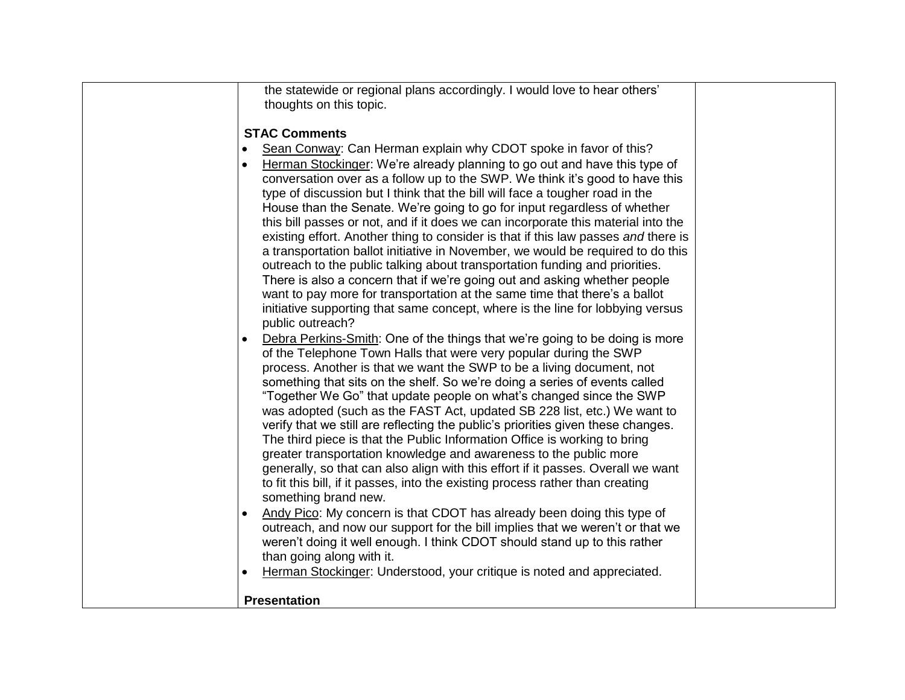| the statewide or regional plans accordingly. I would love to hear others'<br>thoughts on this topic.                                                                                                                                                                                                                                                                                                                                                                                                                                                                                                                                                                                                                                                                                                                                                                                           |  |
|------------------------------------------------------------------------------------------------------------------------------------------------------------------------------------------------------------------------------------------------------------------------------------------------------------------------------------------------------------------------------------------------------------------------------------------------------------------------------------------------------------------------------------------------------------------------------------------------------------------------------------------------------------------------------------------------------------------------------------------------------------------------------------------------------------------------------------------------------------------------------------------------|--|
| <b>STAC Comments</b><br>Sean Conway: Can Herman explain why CDOT spoke in favor of this?<br>Herman Stockinger: We're already planning to go out and have this type of<br>conversation over as a follow up to the SWP. We think it's good to have this<br>type of discussion but I think that the bill will face a tougher road in the<br>House than the Senate. We're going to go for input regardless of whether                                                                                                                                                                                                                                                                                                                                                                                                                                                                              |  |
| this bill passes or not, and if it does we can incorporate this material into the<br>existing effort. Another thing to consider is that if this law passes and there is<br>a transportation ballot initiative in November, we would be required to do this<br>outreach to the public talking about transportation funding and priorities.<br>There is also a concern that if we're going out and asking whether people<br>want to pay more for transportation at the same time that there's a ballot<br>initiative supporting that same concept, where is the line for lobbying versus<br>public outreach?                                                                                                                                                                                                                                                                                     |  |
| Debra Perkins-Smith: One of the things that we're going to be doing is more<br>of the Telephone Town Halls that were very popular during the SWP<br>process. Another is that we want the SWP to be a living document, not<br>something that sits on the shelf. So we're doing a series of events called<br>"Together We Go" that update people on what's changed since the SWP<br>was adopted (such as the FAST Act, updated SB 228 list, etc.) We want to<br>verify that we still are reflecting the public's priorities given these changes.<br>The third piece is that the Public Information Office is working to bring<br>greater transportation knowledge and awareness to the public more<br>generally, so that can also align with this effort if it passes. Overall we want<br>to fit this bill, if it passes, into the existing process rather than creating<br>something brand new. |  |
| Andy Pico: My concern is that CDOT has already been doing this type of<br>outreach, and now our support for the bill implies that we weren't or that we<br>weren't doing it well enough. I think CDOT should stand up to this rather<br>than going along with it.<br>Herman Stockinger: Understood, your critique is noted and appreciated.<br>$\bullet$                                                                                                                                                                                                                                                                                                                                                                                                                                                                                                                                       |  |
| <b>Presentation</b>                                                                                                                                                                                                                                                                                                                                                                                                                                                                                                                                                                                                                                                                                                                                                                                                                                                                            |  |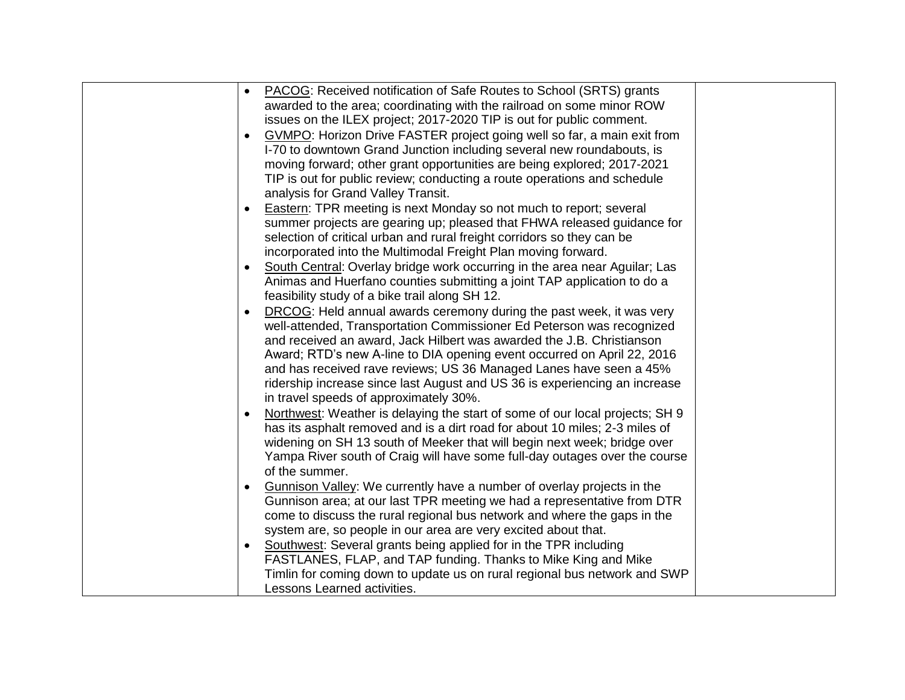| PACOG: Received notification of Safe Routes to School (SRTS) grants<br>$\bullet$ |  |
|----------------------------------------------------------------------------------|--|
| awarded to the area; coordinating with the railroad on some minor ROW            |  |
| issues on the ILEX project; 2017-2020 TIP is out for public comment.             |  |
| GVMPO: Horizon Drive FASTER project going well so far, a main exit from          |  |
| I-70 to downtown Grand Junction including several new roundabouts, is            |  |
| moving forward; other grant opportunities are being explored; 2017-2021          |  |
| TIP is out for public review; conducting a route operations and schedule         |  |
| analysis for Grand Valley Transit.                                               |  |
| <b>Eastern: TPR meeting is next Monday so not much to report; several</b>        |  |
| summer projects are gearing up; pleased that FHWA released guidance for          |  |
| selection of critical urban and rural freight corridors so they can be           |  |
| incorporated into the Multimodal Freight Plan moving forward.                    |  |
| South Central: Overlay bridge work occurring in the area near Aguilar; Las       |  |
| Animas and Huerfano counties submitting a joint TAP application to do a          |  |
| feasibility study of a bike trail along SH 12.                                   |  |
| DRCOG: Held annual awards ceremony during the past week, it was very             |  |
| well-attended, Transportation Commissioner Ed Peterson was recognized            |  |
| and received an award, Jack Hilbert was awarded the J.B. Christianson            |  |
| Award; RTD's new A-line to DIA opening event occurred on April 22, 2016          |  |
| and has received rave reviews; US 36 Managed Lanes have seen a 45%               |  |
| ridership increase since last August and US 36 is experiencing an increase       |  |
| in travel speeds of approximately 30%.                                           |  |
| Northwest: Weather is delaying the start of some of our local projects; SH 9     |  |
| has its asphalt removed and is a dirt road for about 10 miles; 2-3 miles of      |  |
| widening on SH 13 south of Meeker that will begin next week; bridge over         |  |
| Yampa River south of Craig will have some full-day outages over the course       |  |
| of the summer.                                                                   |  |
| <b>Gunnison Valley:</b> We currently have a number of overlay projects in the    |  |
| Gunnison area; at our last TPR meeting we had a representative from DTR          |  |
| come to discuss the rural regional bus network and where the gaps in the         |  |
| system are, so people in our area are very excited about that.                   |  |
| Southwest: Several grants being applied for in the TPR including                 |  |
| FASTLANES, FLAP, and TAP funding. Thanks to Mike King and Mike                   |  |
| Timlin for coming down to update us on rural regional bus network and SWP        |  |
| Lessons Learned activities.                                                      |  |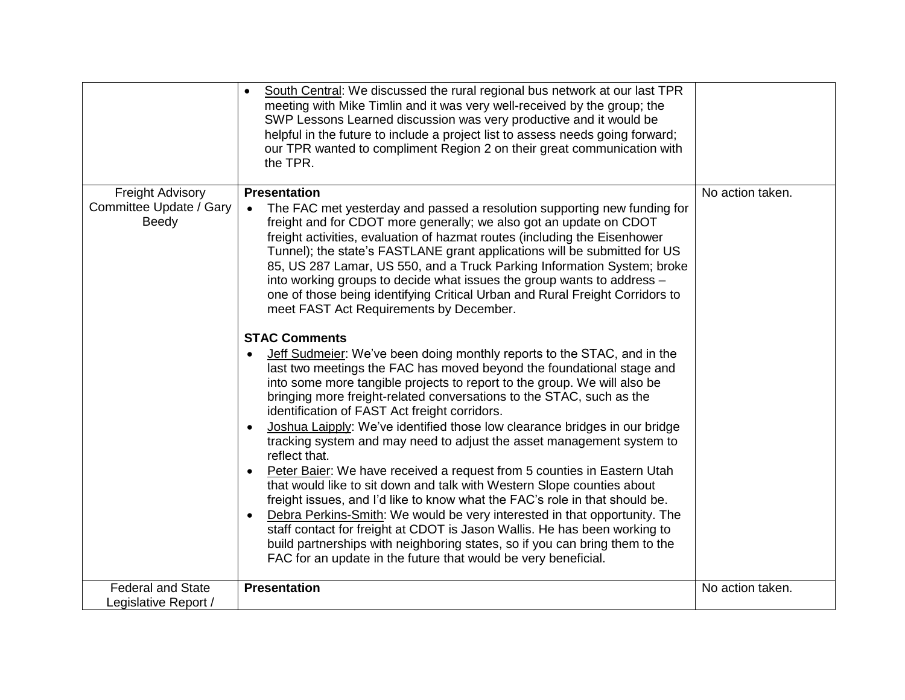|                                  | South Central: We discussed the rural regional bus network at our last TPR<br>$\bullet$<br>meeting with Mike Timlin and it was very well-received by the group; the<br>SWP Lessons Learned discussion was very productive and it would be<br>helpful in the future to include a project list to assess needs going forward;<br>our TPR wanted to compliment Region 2 on their great communication with<br>the TPR.                                                                                                                                                                       |                  |
|----------------------------------|------------------------------------------------------------------------------------------------------------------------------------------------------------------------------------------------------------------------------------------------------------------------------------------------------------------------------------------------------------------------------------------------------------------------------------------------------------------------------------------------------------------------------------------------------------------------------------------|------------------|
| <b>Freight Advisory</b>          | <b>Presentation</b>                                                                                                                                                                                                                                                                                                                                                                                                                                                                                                                                                                      | No action taken. |
| Committee Update / Gary<br>Beedy | The FAC met yesterday and passed a resolution supporting new funding for<br>freight and for CDOT more generally; we also got an update on CDOT<br>freight activities, evaluation of hazmat routes (including the Eisenhower<br>Tunnel); the state's FASTLANE grant applications will be submitted for US<br>85, US 287 Lamar, US 550, and a Truck Parking Information System; broke<br>into working groups to decide what issues the group wants to address -<br>one of those being identifying Critical Urban and Rural Freight Corridors to<br>meet FAST Act Requirements by December. |                  |
|                                  | <b>STAC Comments</b>                                                                                                                                                                                                                                                                                                                                                                                                                                                                                                                                                                     |                  |
|                                  | Jeff Sudmeier: We've been doing monthly reports to the STAC, and in the<br>last two meetings the FAC has moved beyond the foundational stage and<br>into some more tangible projects to report to the group. We will also be<br>bringing more freight-related conversations to the STAC, such as the<br>identification of FAST Act freight corridors.<br>Joshua Laipply: We've identified those low clearance bridges in our bridge                                                                                                                                                      |                  |
|                                  | tracking system and may need to adjust the asset management system to<br>reflect that.                                                                                                                                                                                                                                                                                                                                                                                                                                                                                                   |                  |
|                                  | Peter Baier: We have received a request from 5 counties in Eastern Utah<br>that would like to sit down and talk with Western Slope counties about                                                                                                                                                                                                                                                                                                                                                                                                                                        |                  |
|                                  | freight issues, and I'd like to know what the FAC's role in that should be.                                                                                                                                                                                                                                                                                                                                                                                                                                                                                                              |                  |
|                                  | Debra Perkins-Smith: We would be very interested in that opportunity. The<br>staff contact for freight at CDOT is Jason Wallis. He has been working to                                                                                                                                                                                                                                                                                                                                                                                                                                   |                  |
|                                  | build partnerships with neighboring states, so if you can bring them to the                                                                                                                                                                                                                                                                                                                                                                                                                                                                                                              |                  |
|                                  | FAC for an update in the future that would be very beneficial.                                                                                                                                                                                                                                                                                                                                                                                                                                                                                                                           |                  |
| <b>Federal and State</b>         | <b>Presentation</b>                                                                                                                                                                                                                                                                                                                                                                                                                                                                                                                                                                      | No action taken. |
| Legislative Report /             |                                                                                                                                                                                                                                                                                                                                                                                                                                                                                                                                                                                          |                  |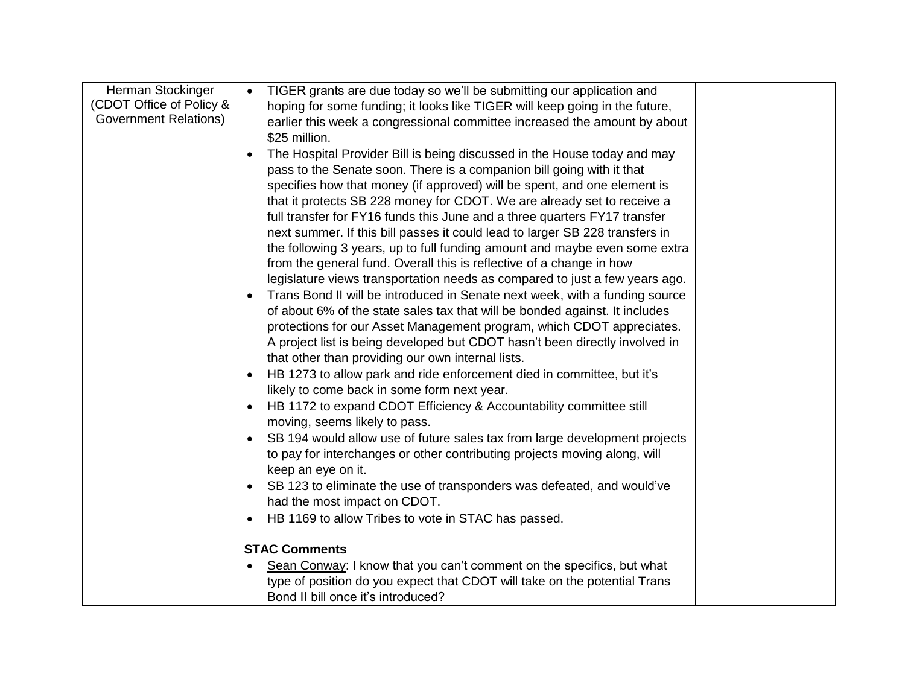| Herman Stockinger            | TIGER grants are due today so we'll be submitting our application and<br>$\bullet$ |
|------------------------------|------------------------------------------------------------------------------------|
| (CDOT Office of Policy &     | hoping for some funding; it looks like TIGER will keep going in the future,        |
| <b>Government Relations)</b> | earlier this week a congressional committee increased the amount by about          |
|                              | \$25 million.                                                                      |
|                              | The Hospital Provider Bill is being discussed in the House today and may           |
|                              | pass to the Senate soon. There is a companion bill going with it that              |
|                              | specifies how that money (if approved) will be spent, and one element is           |
|                              | that it protects SB 228 money for CDOT. We are already set to receive a            |
|                              | full transfer for FY16 funds this June and a three quarters FY17 transfer          |
|                              | next summer. If this bill passes it could lead to larger SB 228 transfers in       |
|                              | the following 3 years, up to full funding amount and maybe even some extra         |
|                              | from the general fund. Overall this is reflective of a change in how               |
|                              | legislature views transportation needs as compared to just a few years ago.        |
|                              | Trans Bond II will be introduced in Senate next week, with a funding source        |
|                              | of about 6% of the state sales tax that will be bonded against. It includes        |
|                              | protections for our Asset Management program, which CDOT appreciates.              |
|                              | A project list is being developed but CDOT hasn't been directly involved in        |
|                              | that other than providing our own internal lists.                                  |
|                              | HB 1273 to allow park and ride enforcement died in committee, but it's             |
|                              | likely to come back in some form next year.                                        |
|                              | HB 1172 to expand CDOT Efficiency & Accountability committee still                 |
|                              | moving, seems likely to pass.                                                      |
|                              | SB 194 would allow use of future sales tax from large development projects         |
|                              | to pay for interchanges or other contributing projects moving along, will          |
|                              | keep an eye on it.                                                                 |
|                              | SB 123 to eliminate the use of transponders was defeated, and would've             |
|                              | had the most impact on CDOT.                                                       |
|                              | HB 1169 to allow Tribes to vote in STAC has passed.                                |
|                              | <b>STAC Comments</b>                                                               |
|                              | Sean Conway: I know that you can't comment on the specifics, but what              |
|                              | type of position do you expect that CDOT will take on the potential Trans          |
|                              | Bond II bill once it's introduced?                                                 |